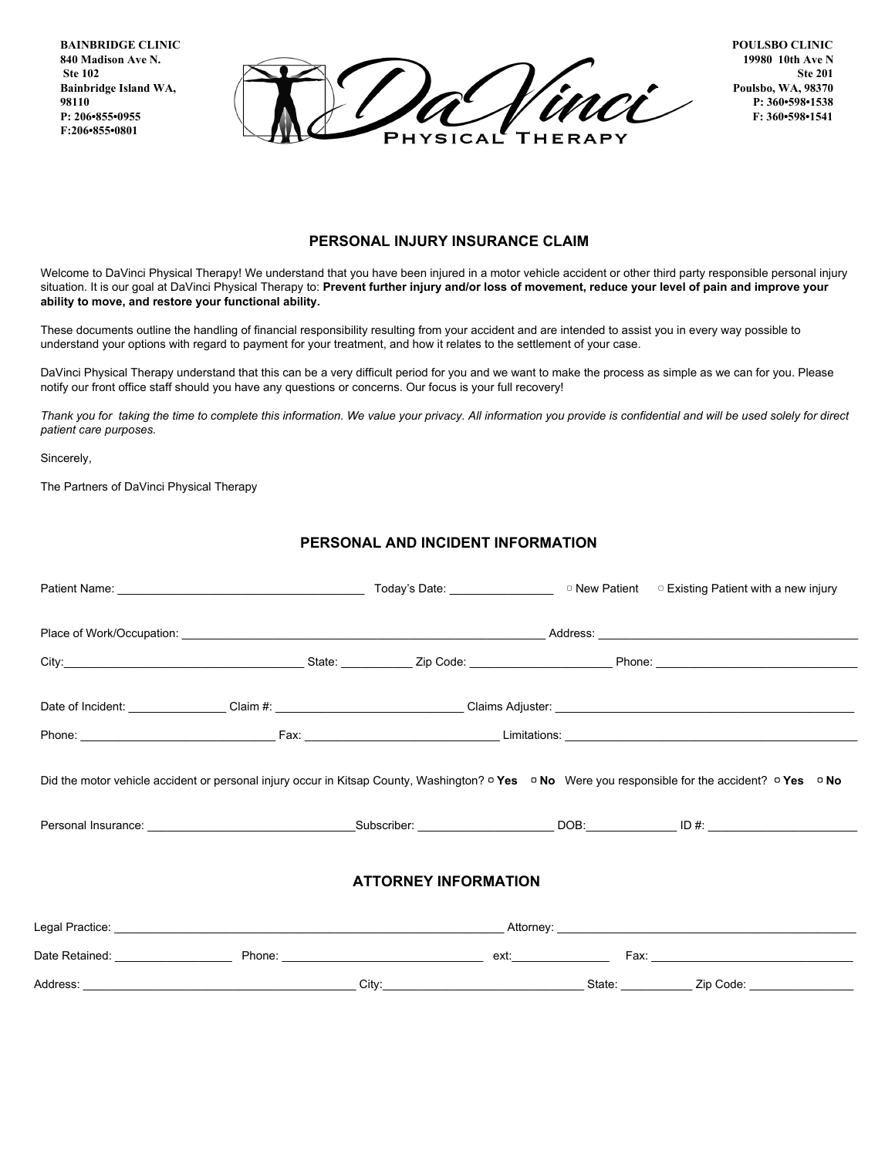**BAINBRIDGE CLINIC 840 Madison Ave N. Ste 102 Bainbridge Island WA, 98110 P: 206•855•0955 F:206•855•0801**



**POULSBO CLINIC 19980 10th Ave N Ste 201 Poulsbo, WA, 98370 P: 360•598•1538 F: 360•598•1541**

## **PERSONAL INJURY INSURANCE CLAIM**

Welcome to DaVinci Physical Therapy! We understand that you have been injured in a motor vehicle accident or other third party responsible personal injury situation. It is our goal at DaVinci Physical Therapy to: Prevent further injury and/or loss of movement, reduce your level of pain and improve your **ability to move, and restore your functional ability.**

These documents outline the handling of financial responsibility resulting from your accident and are intended to assist you in every way possible to understand your options with regard to payment for your treatment, and how it relates to the settlement of your case.

DaVinci Physical Therapy understand that this can be a very difficult period for you and we want to make the process as simple as we can for you. Please notify our front office staff should you have any questions or concerns. Our focus is your full recovery!

Thank you for taking the time to complete this information. We value your privacy. All information you provide is confidential and will be used solely for direct *patient care purposes.*

Sincerely,

The Partners of DaVinci Physical Therapy

## **PERSONAL AND INCIDENT INFORMATION**

|          |  | Did the motor vehicle accident or personal injury occur in Kitsap County, Washington? □ Yes □ No Were you responsible for the accident? □ Yes □ No |                          |           |
|----------|--|----------------------------------------------------------------------------------------------------------------------------------------------------|--------------------------|-----------|
|          |  | <b>ATTORNEY INFORMATION</b>                                                                                                                        |                          |           |
|          |  |                                                                                                                                                    |                          |           |
|          |  |                                                                                                                                                    |                          |           |
| Address: |  | City<br><u> 1980 - Johann Barbara, martxa alemaniar a</u>                                                                                          | State: National Assembly | Zip Code: |